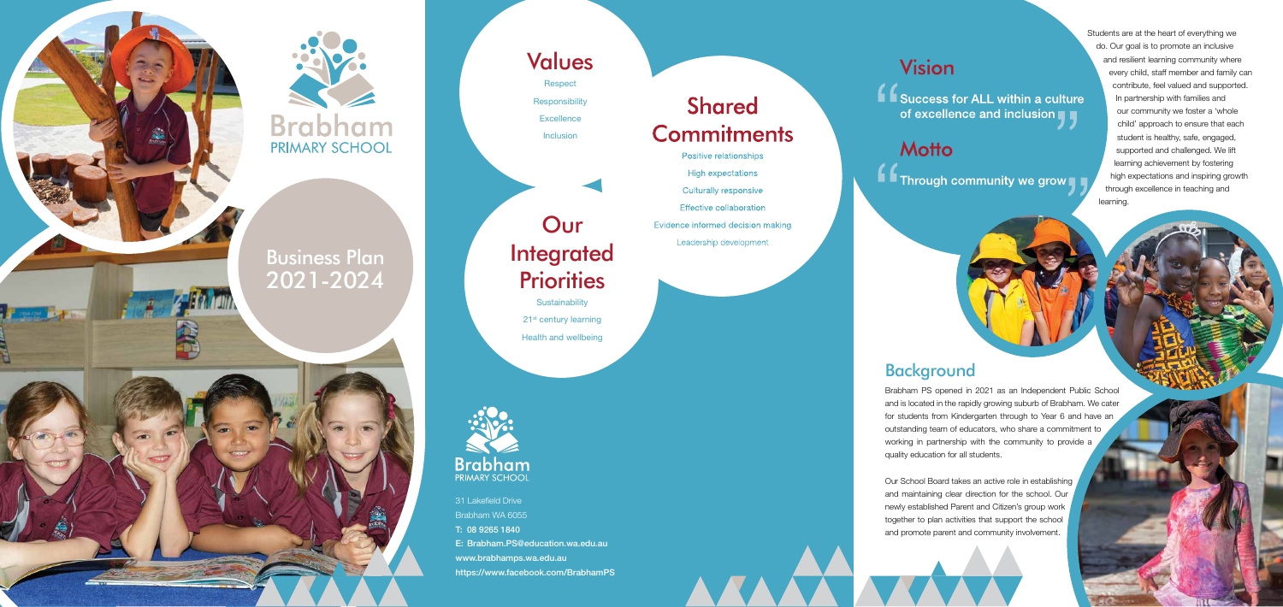31 Lakefield Drive Brabham WA 6055 T: 08 9265 1840 E: Brabham.PS@education.wa.edu.au www.brabhamps.wa.edu.au https://www.facebook.com/BrabhamPS

# **Shared Commitments**

Positive relationships

**High expectations** 

**Culturally responsive** 

**Effective collaboration** 

Evidence informed decision making

Leadership development

# **Vision**

 $\bigcup_{i=1}^{\infty}$  Success for ALL within a culture of excellence and inclusion

## **Motto**

**A** Through community we grow

Students are at the heart of everything we do. Our goal is to promote an inclusive and resilient learning community where every child, staff member and family can contribute, feel valued and supported. In partnership with families and our community we foster a 'whole child' approach to ensure that each student is healthy, safe, engaged, supported and challenged. We lift learning achievement by fostering high expectations and inspiring growth through excellence in teaching and learning.

**Respect Responsibility Excellence** Inclusion

# Our **Integrated Priorities**

### Background

**Sustainability** 21<sup>st</sup> century learning Health and wellbeing





Brabham PS opened in 2021 as an Independent Public School and is located in the rapidly growing suburb of Brabham. We cater for students from Kindergarten through to Year 6 and have an outstanding team of educators, who share a commitment to working in partnership with the community to provide a quality education for all students.

Our School Board takes an active role in establishing and maintaining clear direction for the school. Our newly established Parent and Citizen's group work together to plan activities that support the school and promote parent and community involvement.

## Values



Business Plan

2021-2024